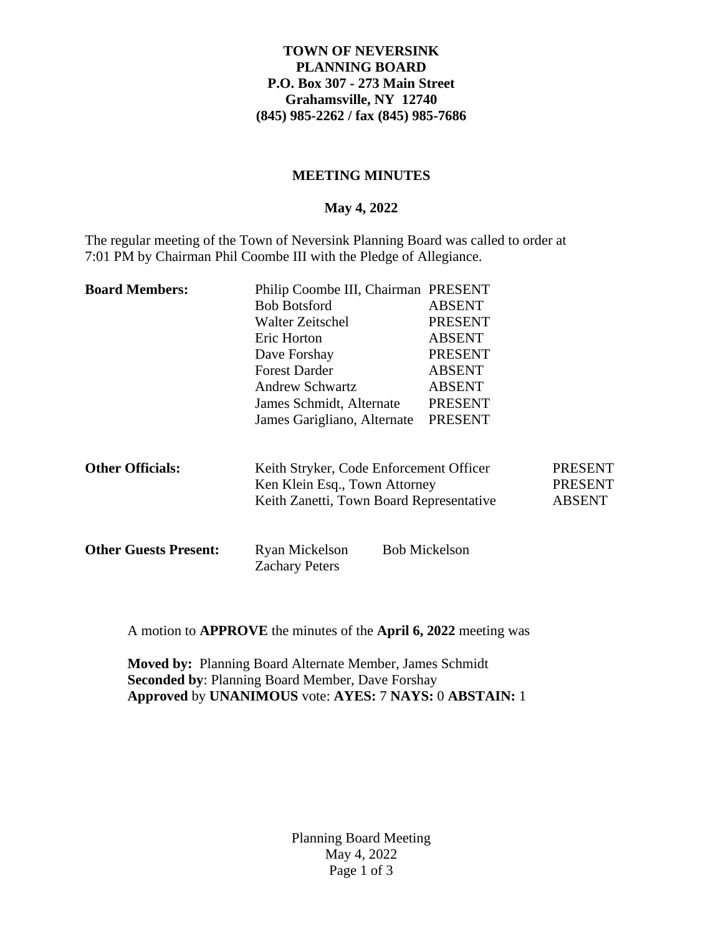## **TOWN OF NEVERSINK PLANNING BOARD P.O. Box 307 - 273 Main Street Grahamsville, NY 12740 (845) 985-2262 / fax (845) 985-7686**

## **MEETING MINUTES**

### **May 4, 2022**

The regular meeting of the Town of Neversink Planning Board was called to order at 7:01 PM by Chairman Phil Coombe III with the Pledge of Allegiance.

| <b>Board Members:</b>        | Philip Coombe III, Chairman PRESENT                |                                                                    |                |
|------------------------------|----------------------------------------------------|--------------------------------------------------------------------|----------------|
|                              | <b>Bob Botsford</b><br>Walter Zeitschel            | <b>ABSENT</b><br><b>PRESENT</b>                                    |                |
|                              |                                                    |                                                                    |                |
|                              | Eric Horton                                        | <b>ABSENT</b>                                                      |                |
|                              | Dave Forshay                                       | <b>PRESENT</b>                                                     |                |
|                              | <b>Forest Darder</b>                               | <b>ABSENT</b><br><b>ABSENT</b><br><b>PRESENT</b><br><b>PRESENT</b> |                |
|                              | <b>Andrew Schwartz</b><br>James Schmidt, Alternate |                                                                    |                |
|                              |                                                    |                                                                    |                |
|                              | James Garigliano, Alternate                        |                                                                    |                |
|                              |                                                    |                                                                    |                |
|                              |                                                    |                                                                    |                |
| <b>Other Officials:</b>      | Keith Stryker, Code Enforcement Officer            |                                                                    | <b>PRESENT</b> |
|                              | Ken Klein Esq., Town Attorney                      |                                                                    | <b>PRESENT</b> |
|                              | Keith Zanetti, Town Board Representative           |                                                                    | <b>ABSENT</b>  |
|                              |                                                    |                                                                    |                |
|                              |                                                    |                                                                    |                |
| <b>Other Guests Present:</b> | Ryan Mickelson<br><b>Zachary Peters</b>            | <b>Bob Mickelson</b>                                               |                |
|                              |                                                    |                                                                    |                |

A motion to **APPROVE** the minutes of the **April 6, 2022** meeting was

**Moved by:** Planning Board Alternate Member, James Schmidt **Seconded by**: Planning Board Member, Dave Forshay **Approved** by **UNANIMOUS** vote: **AYES:** 7 **NAYS:** 0 **ABSTAIN:** 1

> Planning Board Meeting May 4, 2022 Page 1 of 3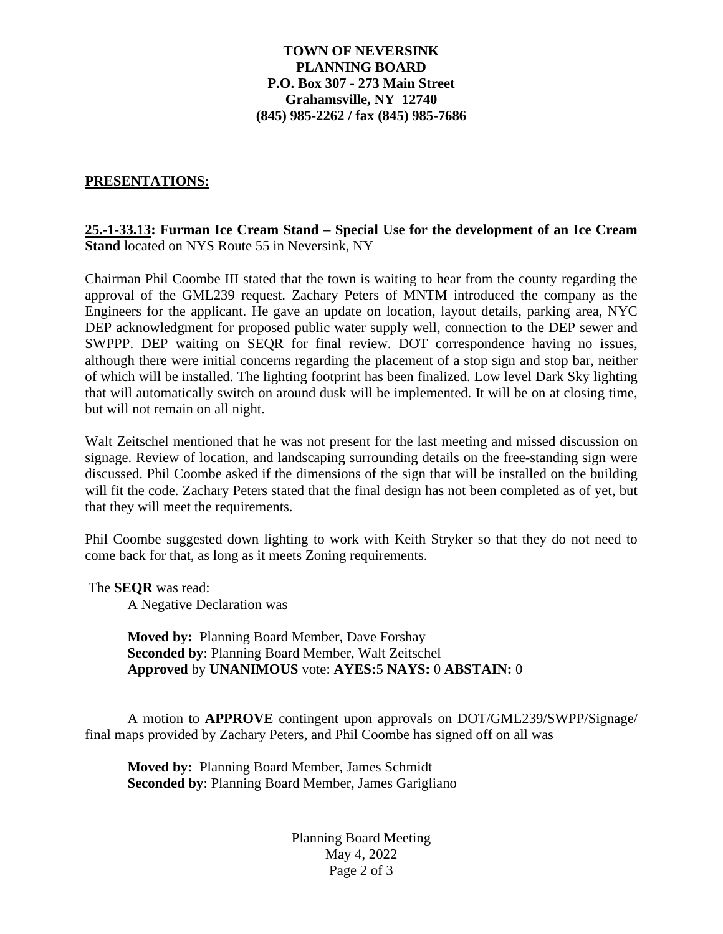## **TOWN OF NEVERSINK PLANNING BOARD P.O. Box 307 - 273 Main Street Grahamsville, NY 12740 (845) 985-2262 / fax (845) 985-7686**

#### **PRESENTATIONS:**

**25.-1-33.13: Furman Ice Cream Stand – Special Use for the development of an Ice Cream Stand** located on NYS Route 55 in Neversink, NY

Chairman Phil Coombe III stated that the town is waiting to hear from the county regarding the approval of the GML239 request. Zachary Peters of MNTM introduced the company as the Engineers for the applicant. He gave an update on location, layout details, parking area, NYC DEP acknowledgment for proposed public water supply well, connection to the DEP sewer and SWPPP. DEP waiting on SEQR for final review. DOT correspondence having no issues, although there were initial concerns regarding the placement of a stop sign and stop bar, neither of which will be installed. The lighting footprint has been finalized. Low level Dark Sky lighting that will automatically switch on around dusk will be implemented. It will be on at closing time, but will not remain on all night.

Walt Zeitschel mentioned that he was not present for the last meeting and missed discussion on signage. Review of location, and landscaping surrounding details on the free-standing sign were discussed. Phil Coombe asked if the dimensions of the sign that will be installed on the building will fit the code. Zachary Peters stated that the final design has not been completed as of yet, but that they will meet the requirements.

Phil Coombe suggested down lighting to work with Keith Stryker so that they do not need to come back for that, as long as it meets Zoning requirements.

The **SEQR** was read:

A Negative Declaration was

**Moved by:** Planning Board Member, Dave Forshay **Seconded by**: Planning Board Member, Walt Zeitschel **Approved** by **UNANIMOUS** vote: **AYES:**5 **NAYS:** 0 **ABSTAIN:** 0

A motion to **APPROVE** contingent upon approvals on DOT/GML239/SWPP/Signage/ final maps provided by Zachary Peters, and Phil Coombe has signed off on all was

**Moved by:** Planning Board Member, James Schmidt **Seconded by**: Planning Board Member, James Garigliano

> Planning Board Meeting May 4, 2022 Page 2 of 3